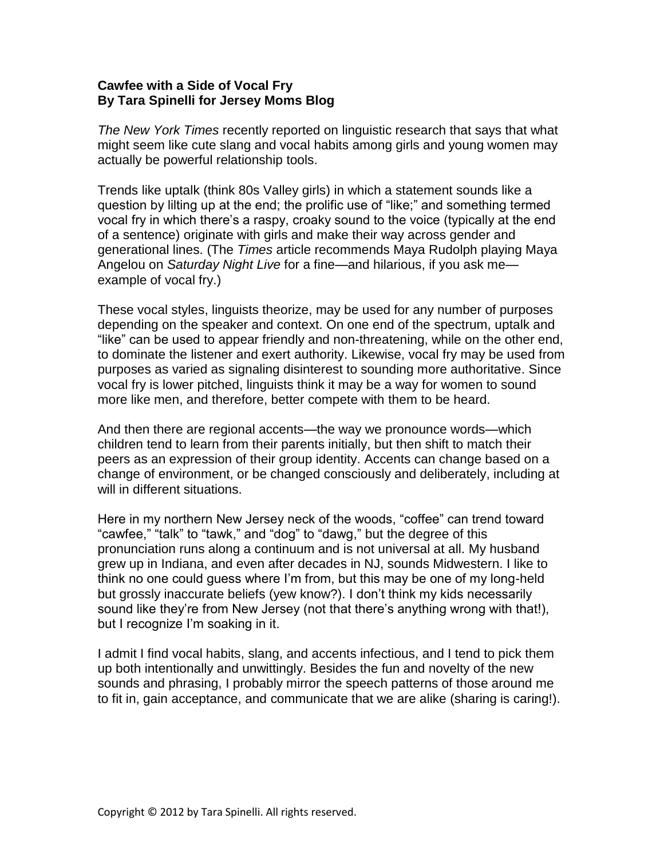## **Cawfee with a Side of Vocal Fry By Tara Spinelli for Jersey Moms Blog**

*The New York Times* recently reported on linguistic research that says that what might seem like cute slang and vocal habits among girls and young women may actually be powerful relationship tools.

Trends like uptalk (think 80s Valley girls) in which a statement sounds like a question by lilting up at the end; the prolific use of "like;" and something termed vocal fry in which there's a raspy, croaky sound to the voice (typically at the end of a sentence) originate with girls and make their way across gender and generational lines. (The *Times* article recommends Maya Rudolph playing Maya Angelou on *Saturday Night Live* for a fine—and hilarious, if you ask me example of vocal fry.)

These vocal styles, linguists theorize, may be used for any number of purposes depending on the speaker and context. On one end of the spectrum, uptalk and "like" can be used to appear friendly and non-threatening, while on the other end, to dominate the listener and exert authority. Likewise, vocal fry may be used from purposes as varied as signaling disinterest to sounding more authoritative. Since vocal fry is lower pitched, linguists think it may be a way for women to sound more like men, and therefore, better compete with them to be heard.

And then there are regional accents—the way we pronounce words—which children tend to learn from their parents initially, but then shift to match their peers as an expression of their group identity. Accents can change based on a change of environment, or be changed consciously and deliberately, including at will in different situations.

Here in my northern New Jersey neck of the woods, "coffee" can trend toward "cawfee," "talk" to "tawk," and "dog" to "dawg," but the degree of this pronunciation runs along a continuum and is not universal at all. My husband grew up in Indiana, and even after decades in NJ, sounds Midwestern. I like to think no one could guess where I'm from, but this may be one of my long-held but grossly inaccurate beliefs (yew know?). I don't think my kids necessarily sound like they're from New Jersey (not that there's anything wrong with that!), but I recognize I'm soaking in it.

I admit I find vocal habits, slang, and accents infectious, and I tend to pick them up both intentionally and unwittingly. Besides the fun and novelty of the new sounds and phrasing, I probably mirror the speech patterns of those around me to fit in, gain acceptance, and communicate that we are alike (sharing is caring!).